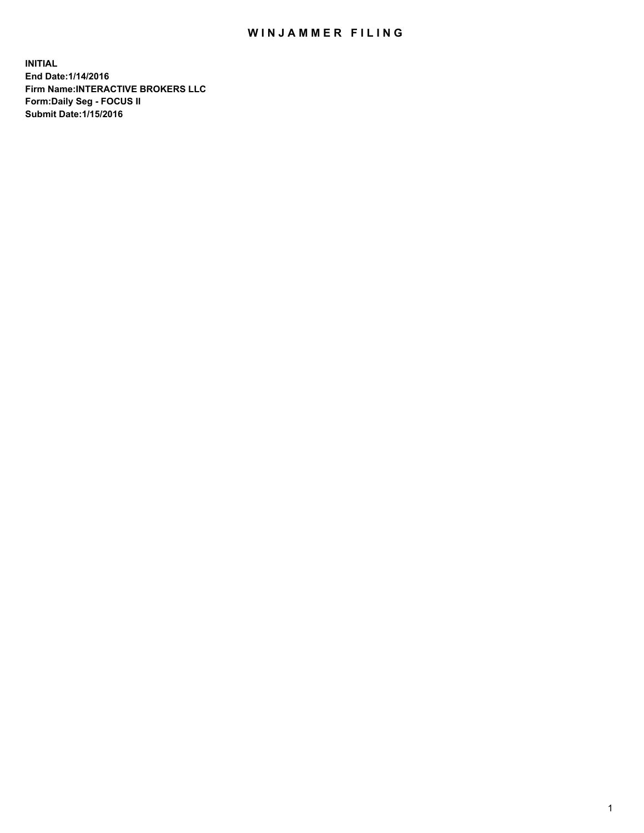## WIN JAMMER FILING

**INITIAL End Date:1/14/2016 Firm Name:INTERACTIVE BROKERS LLC Form:Daily Seg - FOCUS II Submit Date:1/15/2016**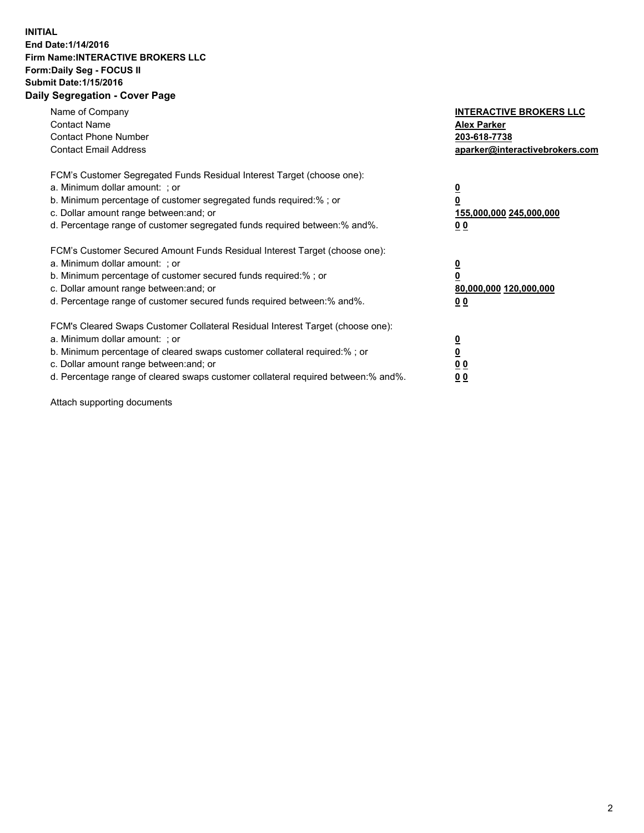## **INITIAL End Date:1/14/2016 Firm Name:INTERACTIVE BROKERS LLC Form:Daily Seg - FOCUS II Submit Date:1/15/2016 Daily Segregation - Cover Page**

| Name of Company<br><b>Contact Name</b><br><b>Contact Phone Number</b><br><b>Contact Email Address</b>                                                                                                                                                                                                                         | <b>INTERACTIVE BROKERS LLC</b><br><b>Alex Parker</b><br>203-618-7738<br>aparker@interactivebrokers.com |
|-------------------------------------------------------------------------------------------------------------------------------------------------------------------------------------------------------------------------------------------------------------------------------------------------------------------------------|--------------------------------------------------------------------------------------------------------|
| FCM's Customer Segregated Funds Residual Interest Target (choose one):<br>a. Minimum dollar amount: ; or<br>b. Minimum percentage of customer segregated funds required:% ; or<br>c. Dollar amount range between: and; or<br>d. Percentage range of customer segregated funds required between:% and%.                        | <u>0</u><br>155,000,000 245,000,000<br>0 <sub>0</sub>                                                  |
| FCM's Customer Secured Amount Funds Residual Interest Target (choose one):<br>a. Minimum dollar amount: ; or<br>b. Minimum percentage of customer secured funds required:%; or<br>c. Dollar amount range between: and; or<br>d. Percentage range of customer secured funds required between: % and %.                         | <u>0</u><br>80,000,000 120,000,000<br><u>00</u>                                                        |
| FCM's Cleared Swaps Customer Collateral Residual Interest Target (choose one):<br>a. Minimum dollar amount: ; or<br>b. Minimum percentage of cleared swaps customer collateral required:%; or<br>c. Dollar amount range between: and; or<br>d. Percentage range of cleared swaps customer collateral required between:% and%. | <u>0</u><br>0 <sub>0</sub><br>0 <sub>0</sub>                                                           |

Attach supporting documents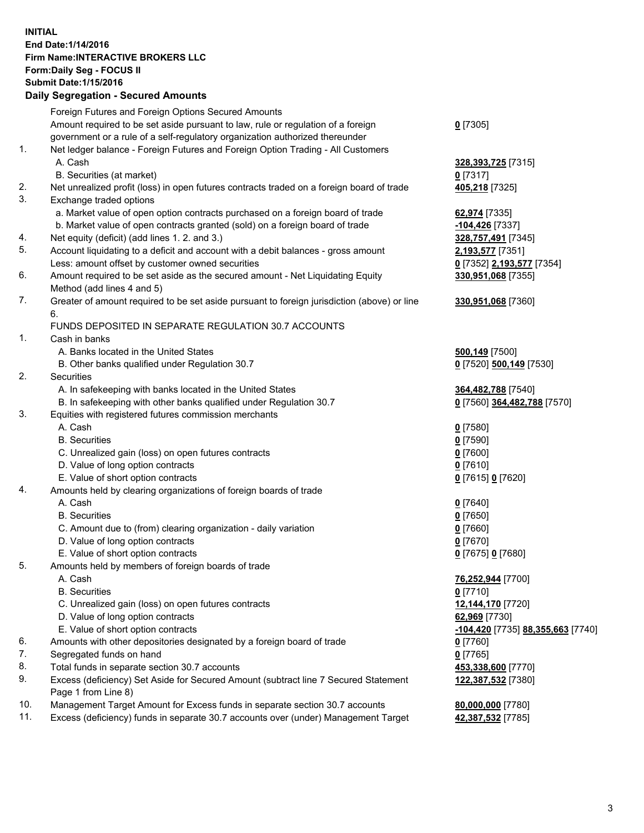## **INITIAL End Date:1/14/2016 Firm Name:INTERACTIVE BROKERS LLC Form:Daily Seg - FOCUS II Submit Date:1/15/2016 Daily Segregation - Secured Amounts**

|     | Foreign Futures and Foreign Options Secured Amounts                                         |                                                 |
|-----|---------------------------------------------------------------------------------------------|-------------------------------------------------|
|     | Amount required to be set aside pursuant to law, rule or regulation of a foreign            | $0$ [7305]                                      |
|     | government or a rule of a self-regulatory organization authorized thereunder                |                                                 |
| 1.  | Net ledger balance - Foreign Futures and Foreign Option Trading - All Customers             |                                                 |
|     | A. Cash                                                                                     | 328,393,725 [7315]                              |
|     | B. Securities (at market)                                                                   | $0$ [7317]                                      |
| 2.  | Net unrealized profit (loss) in open futures contracts traded on a foreign board of trade   | 405,218 [7325]                                  |
| 3.  | Exchange traded options                                                                     |                                                 |
|     | a. Market value of open option contracts purchased on a foreign board of trade              | 62,974 [7335]                                   |
|     | b. Market value of open contracts granted (sold) on a foreign board of trade                | -104,426 [7337]                                 |
| 4.  | Net equity (deficit) (add lines 1.2. and 3.)                                                |                                                 |
| 5.  |                                                                                             | 328,757,491 [7345]                              |
|     | Account liquidating to a deficit and account with a debit balances - gross amount           | 2,193,577 [7351]                                |
|     | Less: amount offset by customer owned securities                                            | 0 [7352] 2,193,577 [7354]                       |
| 6.  | Amount required to be set aside as the secured amount - Net Liquidating Equity              | 330,951,068 [7355]                              |
|     | Method (add lines 4 and 5)                                                                  |                                                 |
| 7.  | Greater of amount required to be set aside pursuant to foreign jurisdiction (above) or line | 330,951,068 [7360]                              |
|     | 6.                                                                                          |                                                 |
|     | FUNDS DEPOSITED IN SEPARATE REGULATION 30.7 ACCOUNTS                                        |                                                 |
| 1.  | Cash in banks                                                                               |                                                 |
|     | A. Banks located in the United States                                                       | 500,149 [7500]                                  |
|     | B. Other banks qualified under Regulation 30.7                                              | 0 [7520] 500,149 [7530]                         |
| 2.  | Securities                                                                                  |                                                 |
|     | A. In safekeeping with banks located in the United States                                   | 364,482,788 [7540]                              |
|     | B. In safekeeping with other banks qualified under Regulation 30.7                          | 0 [7560] 364,482,788 [7570]                     |
| 3.  | Equities with registered futures commission merchants                                       |                                                 |
|     | A. Cash                                                                                     | $0$ [7580]                                      |
|     | <b>B.</b> Securities                                                                        | $0$ [7590]                                      |
|     | C. Unrealized gain (loss) on open futures contracts                                         | $0$ [7600]                                      |
|     | D. Value of long option contracts                                                           | $0$ [7610]                                      |
|     | E. Value of short option contracts                                                          | 0 [7615] 0 [7620]                               |
| 4.  | Amounts held by clearing organizations of foreign boards of trade                           |                                                 |
|     | A. Cash                                                                                     |                                                 |
|     |                                                                                             | $0$ [7640]                                      |
|     | <b>B.</b> Securities                                                                        | $0$ [7650]                                      |
|     | C. Amount due to (from) clearing organization - daily variation                             | $0$ [7660]                                      |
|     | D. Value of long option contracts                                                           | $0$ [7670]                                      |
|     | E. Value of short option contracts                                                          | 0 [7675] 0 [7680]                               |
| 5.  | Amounts held by members of foreign boards of trade                                          |                                                 |
|     | A. Cash                                                                                     | 76,252,944 [7700]                               |
|     | <b>B.</b> Securities                                                                        | $0$ [7710]                                      |
|     | C. Unrealized gain (loss) on open futures contracts                                         | 12,144,170 [7720]                               |
|     | D. Value of long option contracts                                                           | 62,969 [7730]                                   |
|     | E. Value of short option contracts                                                          | <u>-104,420</u> [7735] <u>88,355,663</u> [7740] |
| 6.  | Amounts with other depositories designated by a foreign board of trade                      | $0$ [7760]                                      |
| 7.  | Segregated funds on hand                                                                    | $0$ [7765]                                      |
| 8.  | Total funds in separate section 30.7 accounts                                               | 453,338,600 [7770]                              |
| 9.  | Excess (deficiency) Set Aside for Secured Amount (subtract line 7 Secured Statement         | 122,387,532 [7380]                              |
|     | Page 1 from Line 8)                                                                         |                                                 |
| 10. | Management Target Amount for Excess funds in separate section 30.7 accounts                 | 80,000,000 [7780]                               |
| 11. | Excess (deficiency) funds in separate 30.7 accounts over (under) Management Target          | 42,387,532 [7785]                               |
|     |                                                                                             |                                                 |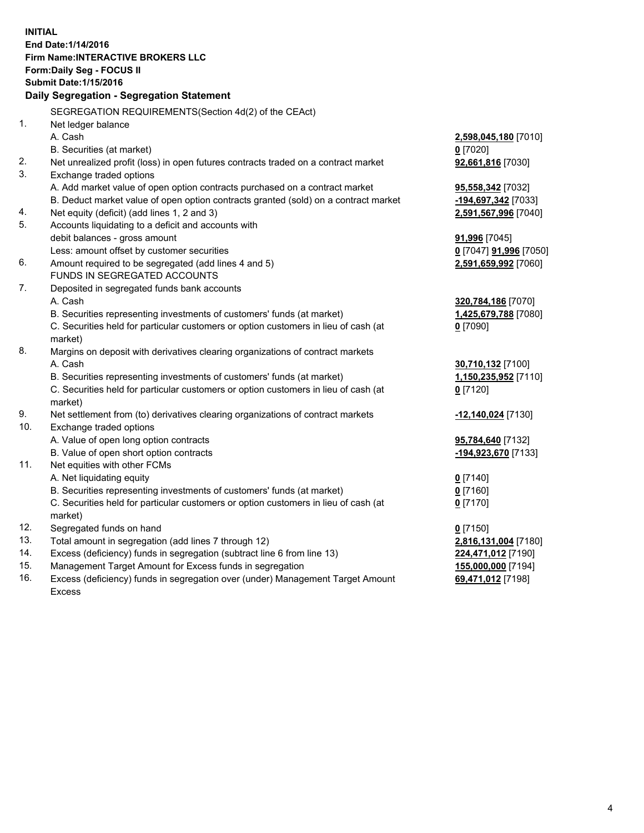**INITIAL End Date:1/14/2016 Firm Name:INTERACTIVE BROKERS LLC Form:Daily Seg - FOCUS II Submit Date:1/15/2016 Daily Segregation - Segregation Statement** SEGREGATION REQUIREMENTS(Section 4d(2) of the CEAct) 1. Net ledger balance A. Cash **2,598,045,180** [7010] B. Securities (at market) **0** [7020] 2. Net unrealized profit (loss) in open futures contracts traded on a contract market **92,661,816** [7030] 3. Exchange traded options A. Add market value of open option contracts purchased on a contract market **95,558,342** [7032] B. Deduct market value of open option contracts granted (sold) on a contract market **-194,697,342** [7033] 4. Net equity (deficit) (add lines 1, 2 and 3) **2,591,567,996** [7040] 5. Accounts liquidating to a deficit and accounts with debit balances - gross amount **91,996** [7045] Less: amount offset by customer securities **0** [7047] **91,996** [7050] 6. Amount required to be segregated (add lines 4 and 5) **2,591,659,992** [7060] FUNDS IN SEGREGATED ACCOUNTS 7. Deposited in segregated funds bank accounts A. Cash **320,784,186** [7070] B. Securities representing investments of customers' funds (at market) **1,425,679,788** [7080] C. Securities held for particular customers or option customers in lieu of cash (at market) **0** [7090] 8. Margins on deposit with derivatives clearing organizations of contract markets A. Cash **30,710,132** [7100] B. Securities representing investments of customers' funds (at market) **1,150,235,952** [7110] C. Securities held for particular customers or option customers in lieu of cash (at market) **0** [7120] 9. Net settlement from (to) derivatives clearing organizations of contract markets **-12,140,024** [7130] 10. Exchange traded options A. Value of open long option contracts **95,784,640** [7132] B. Value of open short option contracts **-194,923,670** [7133] 11. Net equities with other FCMs A. Net liquidating equity **0** [7140] B. Securities representing investments of customers' funds (at market) **0** [7160] C. Securities held for particular customers or option customers in lieu of cash (at market) **0** [7170] 12. Segregated funds on hand **0** [7150] 13. Total amount in segregation (add lines 7 through 12) **2,816,131,004** [7180] 14. Excess (deficiency) funds in segregation (subtract line 6 from line 13) **224,471,012** [7190] 15. Management Target Amount for Excess funds in segregation **155,000,000** [7194] **69,471,012** [7198]

16. Excess (deficiency) funds in segregation over (under) Management Target Amount Excess